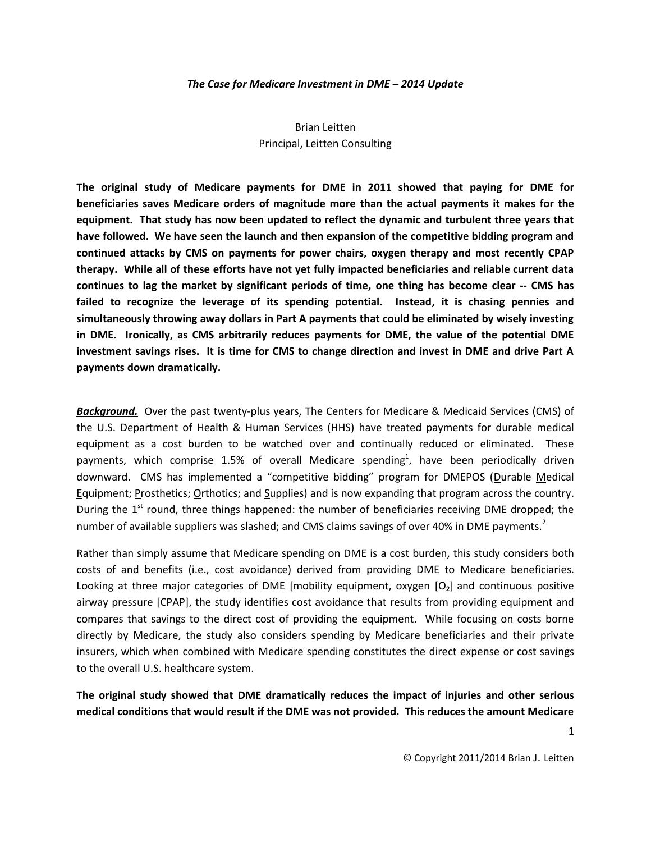#### *The Case for Medicare Investment in DME – 2014 Update*

# Brian Leitten Principal, Leitten Consulting

**The original study of Medicare payments for DME in 2011 showed that paying for DME for beneficiaries saves Medicare orders of magnitude more than the actual payments it makes for the equipment. That study has now been updated to reflect the dynamic and turbulent three years that have followed. We have seen the launch and then expansion of the competitive bidding program and continued attacks by CMS on payments for power chairs, oxygen therapy and most recently CPAP therapy. While all of these efforts have not yet fully impacted beneficiaries and reliable current data continues to lag the market by significant periods of time, one thing has become clear -- CMS has failed to recognize the leverage of its spending potential. Instead, it is chasing pennies and simultaneously throwing away dollars in Part A payments that could be eliminated by wisely investing in DME. Ironically, as CMS arbitrarily reduces payments for DME, the value of the potential DME investment savings rises. It is time for CMS to change direction and invest in DME and drive Part A payments down dramatically.** 

*Background.* Over the past twenty-plus years, The Centers for Medicare & Medicaid Services (CMS) of the U.S. Department of Health & Human Services (HHS) have treated payments for durable medical equipment as a cost burden to be watched over and continually reduced or eliminated. These payments, which comprise 1.5% of overall Medicare spending<sup>1</sup>, have been periodically driven downward. CMS has implemented a "competitive bidding" program for DMEPOS (Durable Medical Equipment; Prosthetics; Orthotics; and Supplies) and is now expanding that program across the country. During the  $1<sup>st</sup>$  round, three things happened: the number of beneficiaries receiving DME dropped; the number of available suppliers was slashed; and CMS claims savings of over 40% in DME payments.<sup>2</sup>

Rather than simply assume that Medicare spending on DME is a cost burden, this study considers both costs of and benefits (i.e., cost avoidance) derived from providing DME to Medicare beneficiaries. Looking at three major categories of DME [mobility equipment, oxygen [O**2**] and continuous positive airway pressure [CPAP], the study identifies cost avoidance that results from providing equipment and compares that savings to the direct cost of providing the equipment. While focusing on costs borne directly by Medicare, the study also considers spending by Medicare beneficiaries and their private insurers, which when combined with Medicare spending constitutes the direct expense or cost savings to the overall U.S. healthcare system.

**The original study showed that DME dramatically reduces the impact of injuries and other serious medical conditions that would result if the DME was not provided. This reduces the amount Medicare**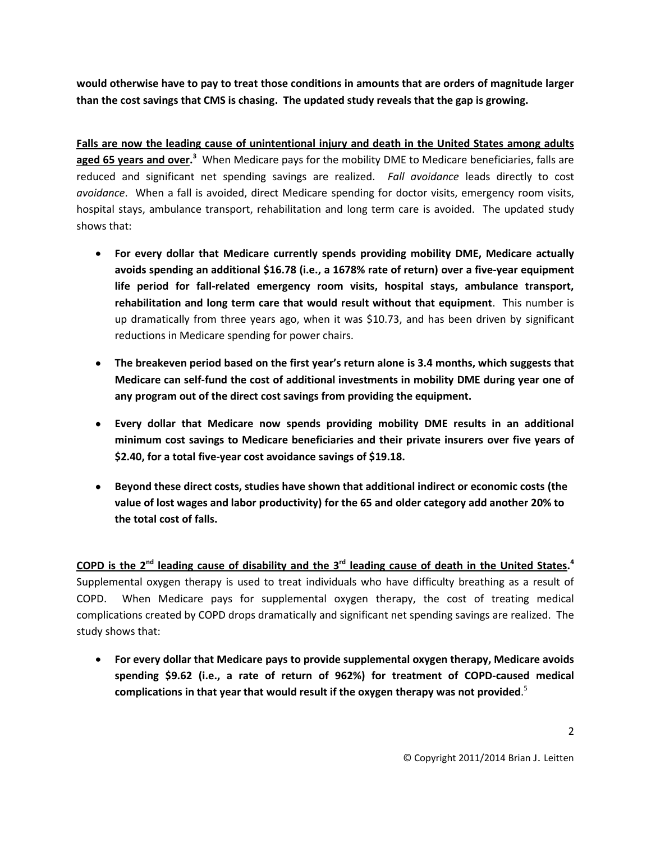**would otherwise have to pay to treat those conditions in amounts that are orders of magnitude larger than the cost savings that CMS is chasing. The updated study reveals that the gap is growing.**

**Falls are now the leading cause of unintentional injury and death in the United States among adults**  aged 65 years and over.<sup>3</sup> When Medicare pays for the mobility DME to Medicare beneficiaries, falls are reduced and significant net spending savings are realized. *Fall avoidance* leads directly to cost *avoidance*. When a fall is avoided, direct Medicare spending for doctor visits, emergency room visits, hospital stays, ambulance transport, rehabilitation and long term care is avoided. The updated study shows that:

- **For every dollar that Medicare currently spends providing mobility DME, Medicare actually avoids spending an additional \$16.78 (i.e., a 1678% rate of return) over a five-year equipment life period for fall-related emergency room visits, hospital stays, ambulance transport, rehabilitation and long term care that would result without that equipment**. This number is up dramatically from three years ago, when it was \$10.73, and has been driven by significant reductions in Medicare spending for power chairs.
- **The breakeven period based on the first year's return alone is 3.4 months, which suggests that Medicare can self-fund the cost of additional investments in mobility DME during year one of any program out of the direct cost savings from providing the equipment.**
- **Every dollar that Medicare now spends providing mobility DME results in an additional minimum cost savings to Medicare beneficiaries and their private insurers over five years of \$2.40, for a total five-year cost avoidance savings of \$19.18.**
- **Beyond these direct costs, studies have shown that additional indirect or economic costs (the value of lost wages and labor productivity) for the 65 and older category add another 20% to the total cost of falls.**

COPD is the 2<sup>nd</sup> leading cause of disability and the 3<sup>rd</sup> leading cause of death in the United States.<sup>4</sup> Supplemental oxygen therapy is used to treat individuals who have difficulty breathing as a result of COPD. When Medicare pays for supplemental oxygen therapy, the cost of treating medical complications created by COPD drops dramatically and significant net spending savings are realized. The study shows that:

**For every dollar that Medicare pays to provide supplemental oxygen therapy, Medicare avoids spending \$9.62 (i.e., a rate of return of 962%) for treatment of COPD-caused medical complications in that year that would result if the oxygen therapy was not provided**. 5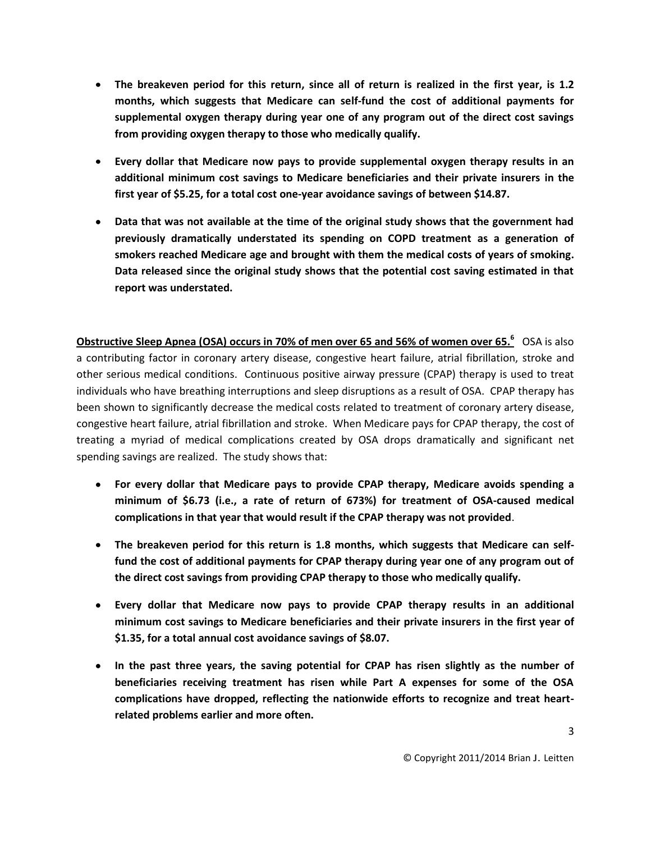- **The breakeven period for this return, since all of return is realized in the first year, is 1.2 months, which suggests that Medicare can self-fund the cost of additional payments for supplemental oxygen therapy during year one of any program out of the direct cost savings from providing oxygen therapy to those who medically qualify.**
- **Every dollar that Medicare now pays to provide supplemental oxygen therapy results in an additional minimum cost savings to Medicare beneficiaries and their private insurers in the first year of \$5.25, for a total cost one-year avoidance savings of between \$14.87.**
- **Data that was not available at the time of the original study shows that the government had previously dramatically understated its spending on COPD treatment as a generation of smokers reached Medicare age and brought with them the medical costs of years of smoking. Data released since the original study shows that the potential cost saving estimated in that report was understated.**

**Obstructive Sleep Apnea (OSA) occurs in 70% of men over 65 and 56% of women over 65.<sup>6</sup>** OSA is also a contributing factor in coronary artery disease, congestive heart failure, atrial fibrillation, stroke and other serious medical conditions. Continuous positive airway pressure (CPAP) therapy is used to treat individuals who have breathing interruptions and sleep disruptions as a result of OSA. CPAP therapy has been shown to significantly decrease the medical costs related to treatment of coronary artery disease, congestive heart failure, atrial fibrillation and stroke. When Medicare pays for CPAP therapy, the cost of treating a myriad of medical complications created by OSA drops dramatically and significant net spending savings are realized. The study shows that:

- **For every dollar that Medicare pays to provide CPAP therapy, Medicare avoids spending a minimum of \$6.73 (i.e., a rate of return of 673%) for treatment of OSA-caused medical complications in that year that would result if the CPAP therapy was not provided**.
- **The breakeven period for this return is 1.8 months, which suggests that Medicare can selffund the cost of additional payments for CPAP therapy during year one of any program out of the direct cost savings from providing CPAP therapy to those who medically qualify.**
- **Every dollar that Medicare now pays to provide CPAP therapy results in an additional minimum cost savings to Medicare beneficiaries and their private insurers in the first year of \$1.35, for a total annual cost avoidance savings of \$8.07.**
- **In the past three years, the saving potential for CPAP has risen slightly as the number of beneficiaries receiving treatment has risen while Part A expenses for some of the OSA complications have dropped, reflecting the nationwide efforts to recognize and treat heartrelated problems earlier and more often.**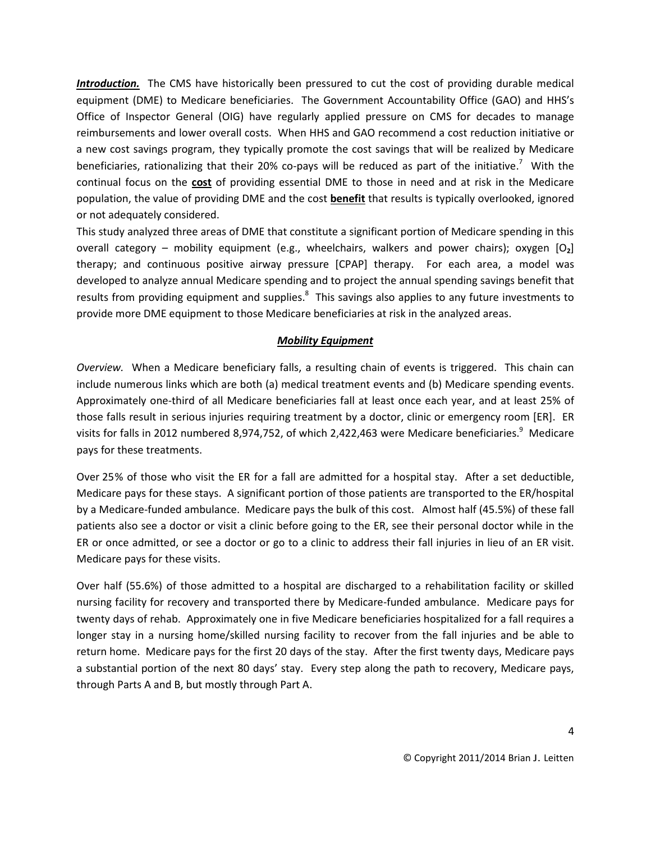*Introduction.* The CMS have historically been pressured to cut the cost of providing durable medical equipment (DME) to Medicare beneficiaries. The Government Accountability Office (GAO) and HHS's Office of Inspector General (OIG) have regularly applied pressure on CMS for decades to manage reimbursements and lower overall costs. When HHS and GAO recommend a cost reduction initiative or a new cost savings program, they typically promote the cost savings that will be realized by Medicare beneficiaries, rationalizing that their 20% co-pays will be reduced as part of the initiative.<sup>7</sup> With the continual focus on the **cost** of providing essential DME to those in need and at risk in the Medicare population, the value of providing DME and the cost **benefit** that results is typically overlooked, ignored or not adequately considered.

This study analyzed three areas of DME that constitute a significant portion of Medicare spending in this overall category – mobility equipment (e.g., wheelchairs, walkers and power chairs); oxygen [O**2**] therapy; and continuous positive airway pressure [CPAP] therapy. For each area, a model was developed to analyze annual Medicare spending and to project the annual spending savings benefit that results from providing equipment and supplies.<sup>8</sup> This savings also applies to any future investments to provide more DME equipment to those Medicare beneficiaries at risk in the analyzed areas.

### *Mobility Equipment*

*Overview.* When a Medicare beneficiary falls, a resulting chain of events is triggered. This chain can include numerous links which are both (a) medical treatment events and (b) Medicare spending events. Approximately one-third of all Medicare beneficiaries fall at least once each year, and at least 25% of those falls result in serious injuries requiring treatment by a doctor, clinic or emergency room [ER]. ER visits for falls in 2012 numbered 8,974,752, of which 2,422,463 were Medicare beneficiaries.<sup>9</sup> Medicare pays for these treatments.

Over 25% of those who visit the ER for a fall are admitted for a hospital stay. After a set deductible, Medicare pays for these stays. A significant portion of those patients are transported to the ER/hospital by a Medicare-funded ambulance. Medicare pays the bulk of this cost. Almost half (45.5%) of these fall patients also see a doctor or visit a clinic before going to the ER, see their personal doctor while in the ER or once admitted, or see a doctor or go to a clinic to address their fall injuries in lieu of an ER visit. Medicare pays for these visits.

Over half (55.6%) of those admitted to a hospital are discharged to a rehabilitation facility or skilled nursing facility for recovery and transported there by Medicare-funded ambulance. Medicare pays for twenty days of rehab. Approximately one in five Medicare beneficiaries hospitalized for a fall requires a longer stay in a nursing home/skilled nursing facility to recover from the fall injuries and be able to return home. Medicare pays for the first 20 days of the stay. After the first twenty days, Medicare pays a substantial portion of the next 80 days' stay. Every step along the path to recovery, Medicare pays, through Parts A and B, but mostly through Part A.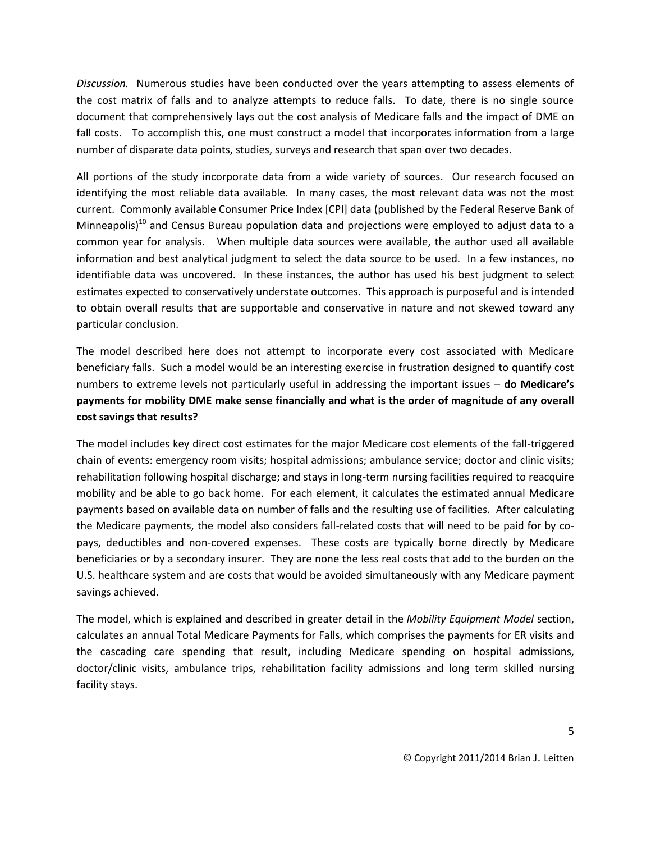*Discussion.* Numerous studies have been conducted over the years attempting to assess elements of the cost matrix of falls and to analyze attempts to reduce falls. To date, there is no single source document that comprehensively lays out the cost analysis of Medicare falls and the impact of DME on fall costs. To accomplish this, one must construct a model that incorporates information from a large number of disparate data points, studies, surveys and research that span over two decades.

All portions of the study incorporate data from a wide variety of sources. Our research focused on identifying the most reliable data available. In many cases, the most relevant data was not the most current. Commonly available Consumer Price Index [CPI] data (published by the Federal Reserve Bank of Minneapolis)<sup>10</sup> and Census Bureau population data and projections were employed to adjust data to a common year for analysis. When multiple data sources were available, the author used all available information and best analytical judgment to select the data source to be used. In a few instances, no identifiable data was uncovered. In these instances, the author has used his best judgment to select estimates expected to conservatively understate outcomes. This approach is purposeful and is intended to obtain overall results that are supportable and conservative in nature and not skewed toward any particular conclusion.

The model described here does not attempt to incorporate every cost associated with Medicare beneficiary falls. Such a model would be an interesting exercise in frustration designed to quantify cost numbers to extreme levels not particularly useful in addressing the important issues – **do Medicare's payments for mobility DME make sense financially and what is the order of magnitude of any overall cost savings that results?**

The model includes key direct cost estimates for the major Medicare cost elements of the fall-triggered chain of events: emergency room visits; hospital admissions; ambulance service; doctor and clinic visits; rehabilitation following hospital discharge; and stays in long-term nursing facilities required to reacquire mobility and be able to go back home. For each element, it calculates the estimated annual Medicare payments based on available data on number of falls and the resulting use of facilities. After calculating the Medicare payments, the model also considers fall-related costs that will need to be paid for by copays, deductibles and non-covered expenses. These costs are typically borne directly by Medicare beneficiaries or by a secondary insurer. They are none the less real costs that add to the burden on the U.S. healthcare system and are costs that would be avoided simultaneously with any Medicare payment savings achieved.

The model, which is explained and described in greater detail in the *Mobility Equipment Model* section, calculates an annual Total Medicare Payments for Falls, which comprises the payments for ER visits and the cascading care spending that result, including Medicare spending on hospital admissions, doctor/clinic visits, ambulance trips, rehabilitation facility admissions and long term skilled nursing facility stays.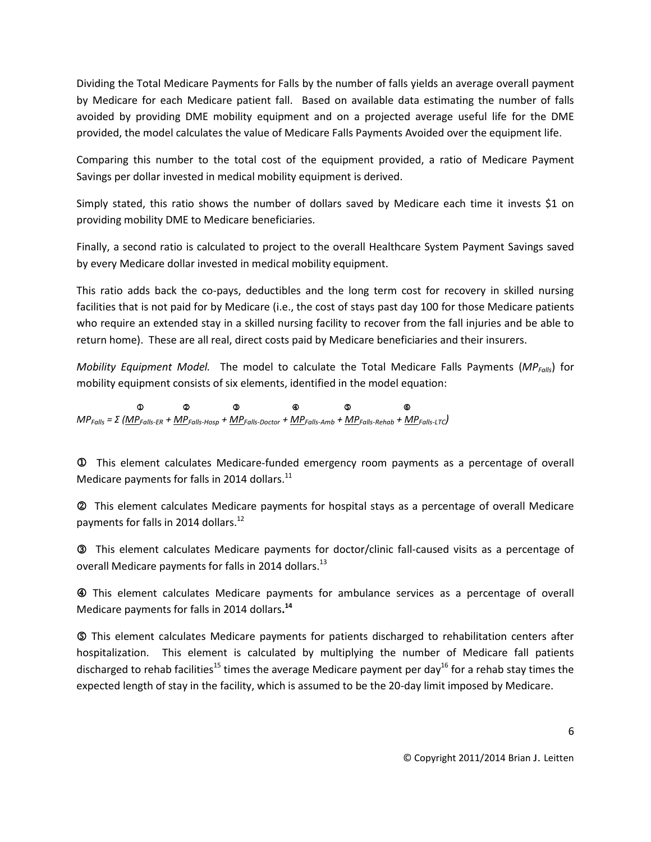Dividing the Total Medicare Payments for Falls by the number of falls yields an average overall payment by Medicare for each Medicare patient fall. Based on available data estimating the number of falls avoided by providing DME mobility equipment and on a projected average useful life for the DME provided, the model calculates the value of Medicare Falls Payments Avoided over the equipment life.

Comparing this number to the total cost of the equipment provided, a ratio of Medicare Payment Savings per dollar invested in medical mobility equipment is derived.

Simply stated, this ratio shows the number of dollars saved by Medicare each time it invests \$1 on providing mobility DME to Medicare beneficiaries.

Finally, a second ratio is calculated to project to the overall Healthcare System Payment Savings saved by every Medicare dollar invested in medical mobility equipment.

This ratio adds back the co-pays, deductibles and the long term cost for recovery in skilled nursing facilities that is not paid for by Medicare (i.e., the cost of stays past day 100 for those Medicare patients who require an extended stay in a skilled nursing facility to recover from the fall injuries and be able to return home). These are all real, direct costs paid by Medicare beneficiaries and their insurers.

*Mobility Equipment Model.* The model to calculate the Total Medicare Falls Payments (*MPFalls*) for mobility equipment consists of six elements, identified in the model equation:

  *MPFalls = Σ (MPFalls-ER + MPFalls-Hosp + MPFalls-Doctor + MPFalls-Amb + MPFalls-Rehab + MPFalls-LTC)*

 This element calculates Medicare-funded emergency room payments as a percentage of overall Medicare payments for falls in 2014 dollars.<sup>11</sup>

This element calculates Medicare payments for hospital stays as a percentage of overall Medicare payments for falls in 2014 dollars.<sup>12</sup>

This element calculates Medicare payments for doctor/clinic fall-caused visits as a percentage of overall Medicare payments for falls in 2014 dollars.<sup>13</sup>

 This element calculates Medicare payments for ambulance services as a percentage of overall Medicare payments for falls in 2014 dollars**. 14**

 This element calculates Medicare payments for patients discharged to rehabilitation centers after hospitalization. This element is calculated by multiplying the number of Medicare fall patients discharged to rehab facilities<sup>15</sup> times the average Medicare payment per day<sup>16</sup> for a rehab stay times the expected length of stay in the facility, which is assumed to be the 20-day limit imposed by Medicare.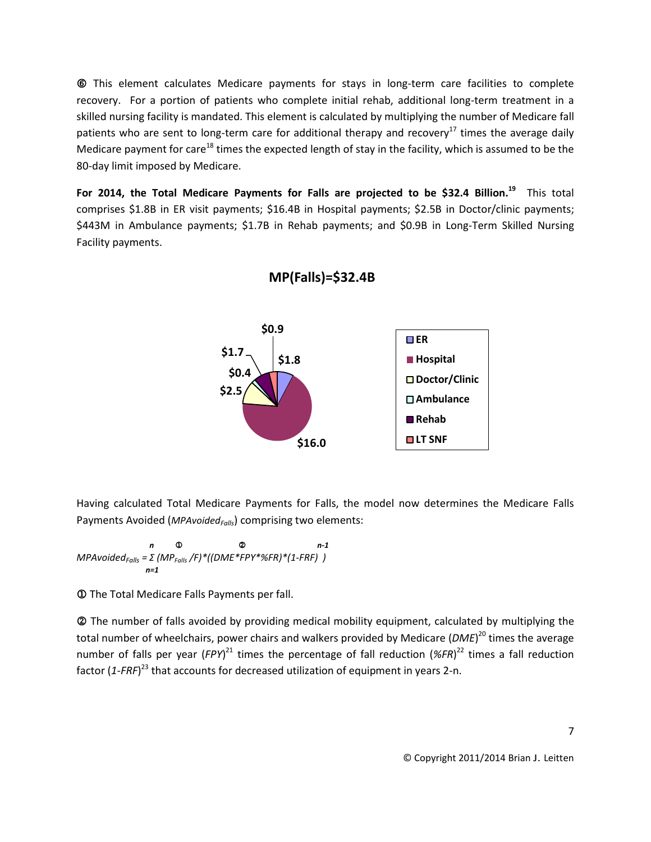This element calculates Medicare payments for stays in long-term care facilities to complete recovery. For a portion of patients who complete initial rehab, additional long-term treatment in a skilled nursing facility is mandated. This element is calculated by multiplying the number of Medicare fall patients who are sent to long-term care for additional therapy and recovery<sup>17</sup> times the average daily Medicare payment for care<sup>18</sup> times the expected length of stay in the facility, which is assumed to be the 80-day limit imposed by Medicare.

**For 2014, the Total Medicare Payments for Falls are projected to be \$32.4 Billion.<sup>19</sup>** This total comprises \$1.8B in ER visit payments; \$16.4B in Hospital payments; \$2.5B in Doctor/clinic payments; \$443M in Ambulance payments; \$1.7B in Rehab payments; and \$0.9B in Long-Term Skilled Nursing Facility payments.



**MP(Falls)=\$32.4B**

Having calculated Total Medicare Payments for Falls, the model now determines the Medicare Falls Payments Avoided (*MPAvoidedFalls*) comprising two elements:

*n* ① ② *n-1 MPAvoidedFalls = Σ (MPFalls /F)\*((DME\*FPY\*%FR)\*(1-FRF) ) n=1* 

The Total Medicare Falls Payments per fall.

 The number of falls avoided by providing medical mobility equipment, calculated by multiplying the total number of wheelchairs, power chairs and walkers provided by Medicare (*DME*) <sup>20</sup> times the average number of falls per year (FPY)<sup>21</sup> times the percentage of fall reduction (%FR)<sup>22</sup> times a fall reduction factor (1-FRF)<sup>23</sup> that accounts for decreased utilization of equipment in years 2-n.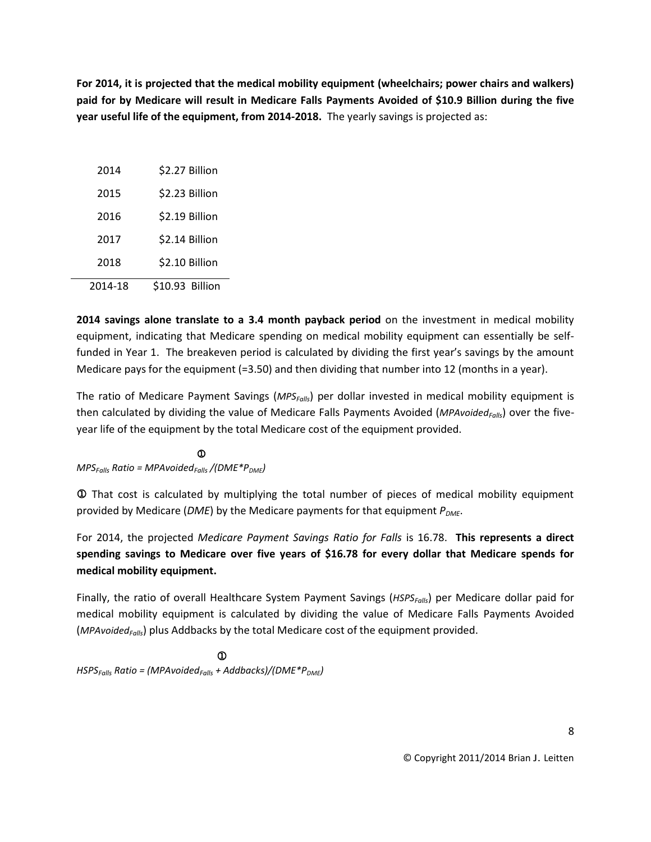**For 2014, it is projected that the medical mobility equipment (wheelchairs; power chairs and walkers) paid for by Medicare will result in Medicare Falls Payments Avoided of \$10.9 Billion during the five year useful life of the equipment, from 2014-2018.** The yearly savings is projected as:

| 2014    | \$2.27 Billion  |
|---------|-----------------|
| 2015    | \$2.23 Billion  |
| 2016    | \$2.19 Billion  |
| 2017    | \$2.14 Billion  |
| 2018    | \$2.10 Billion  |
| 2014-18 | \$10.93 Billion |

**2014 savings alone translate to a 3.4 month payback period** on the investment in medical mobility equipment, indicating that Medicare spending on medical mobility equipment can essentially be selffunded in Year 1. The breakeven period is calculated by dividing the first year's savings by the amount Medicare pays for the equipment (=3.50) and then dividing that number into 12 (months in a year).

The ratio of Medicare Payment Savings (*MPSFalls*) per dollar invested in medical mobility equipment is then calculated by dividing the value of Medicare Falls Payments Avoided (*MPAvoidedFalls*) over the fiveyear life of the equipment by the total Medicare cost of the equipment provided.

 $\mathbb O$ *MPSFalls Ratio = MPAvoidedFalls /(DME\*PDME)*

 That cost is calculated by multiplying the total number of pieces of medical mobility equipment provided by Medicare (*DME*) by the Medicare payments for that equipment  $P_{DMF}$ .

For 2014, the projected *Medicare Payment Savings Ratio for Falls* is 16.78. **This represents a direct spending savings to Medicare over five years of \$16.78 for every dollar that Medicare spends for medical mobility equipment.**

Finally, the ratio of overall Healthcare System Payment Savings (*HSPSFalls*) per Medicare dollar paid for medical mobility equipment is calculated by dividing the value of Medicare Falls Payments Avoided (*MPAvoidedFalls*) plus Addbacks by the total Medicare cost of the equipment provided.

 $\mathbb{C}$  and  $\mathbb{C}$  and  $\mathbb{C}$  and  $\mathbb{C}$  and  $\mathbb{C}$  and  $\mathbb{C}$  and  $\mathbb{C}$ *HSPSFalls Ratio = (MPAvoidedFalls + Addbacks)/(DME\*PDME)*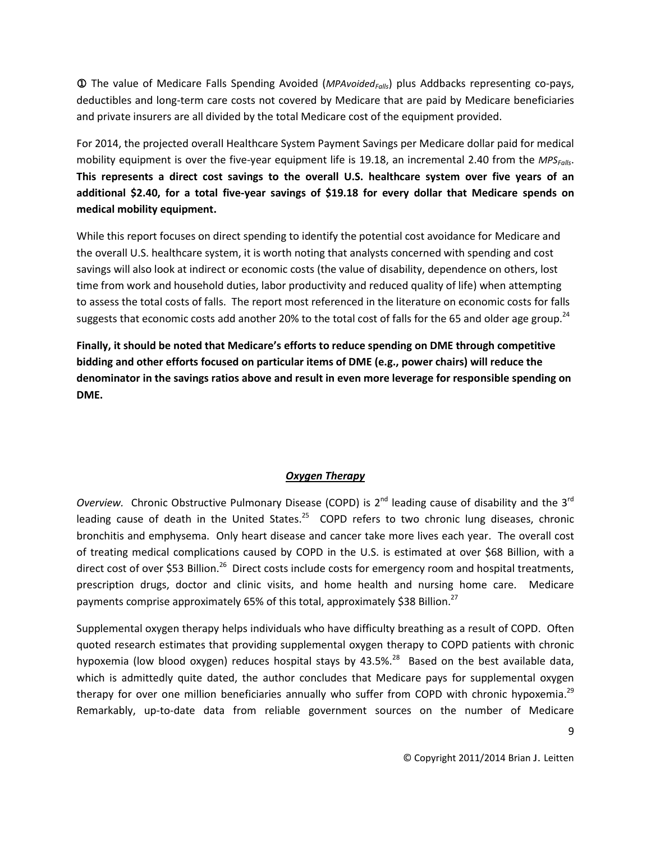The value of Medicare Falls Spending Avoided (*MPAvoidedFalls*) plus Addbacks representing co-pays, deductibles and long-term care costs not covered by Medicare that are paid by Medicare beneficiaries and private insurers are all divided by the total Medicare cost of the equipment provided.

For 2014, the projected overall Healthcare System Payment Savings per Medicare dollar paid for medical mobility equipment is over the five-year equipment life is 19.18, an incremental 2.40 from the *MPSFalls*. **This represents a direct cost savings to the overall U.S. healthcare system over five years of an additional \$2.40, for a total five-year savings of \$19.18 for every dollar that Medicare spends on medical mobility equipment.**

While this report focuses on direct spending to identify the potential cost avoidance for Medicare and the overall U.S. healthcare system, it is worth noting that analysts concerned with spending and cost savings will also look at indirect or economic costs (the value of disability, dependence on others, lost time from work and household duties, labor productivity and reduced quality of life) when attempting to assess the total costs of falls. The report most referenced in the literature on economic costs for falls suggests that economic costs add another 20% to the total cost of falls for the 65 and older age group.<sup>24</sup>

**Finally, it should be noted that Medicare's efforts to reduce spending on DME through competitive bidding and other efforts focused on particular items of DME (e.g., power chairs) will reduce the denominator in the savings ratios above and result in even more leverage for responsible spending on DME.**

## *Oxygen Therapy*

Overview. Chronic Obstructive Pulmonary Disease (COPD) is 2<sup>nd</sup> leading cause of disability and the 3<sup>rd</sup> leading cause of death in the United States.<sup>25</sup> COPD refers to two chronic lung diseases, chronic bronchitis and emphysema. Only heart disease and cancer take more lives each year. The overall cost of treating medical complications caused by COPD in the U.S. is estimated at over \$68 Billion, with a direct cost of over \$53 Billion.<sup>26</sup> Direct costs include costs for emergency room and hospital treatments, prescription drugs, doctor and clinic visits, and home health and nursing home care. Medicare payments comprise approximately 65% of this total, approximately \$38 Billion.<sup>27</sup>

Supplemental oxygen therapy helps individuals who have difficulty breathing as a result of COPD. Often quoted research estimates that providing supplemental oxygen therapy to COPD patients with chronic hypoxemia (low blood oxygen) reduces hospital stays by 43.5%.<sup>28</sup> Based on the best available data, which is admittedly quite dated, the author concludes that Medicare pays for supplemental oxygen therapy for over one million beneficiaries annually who suffer from COPD with chronic hypoxemia.<sup>29</sup> Remarkably, up-to-date data from reliable government sources on the number of Medicare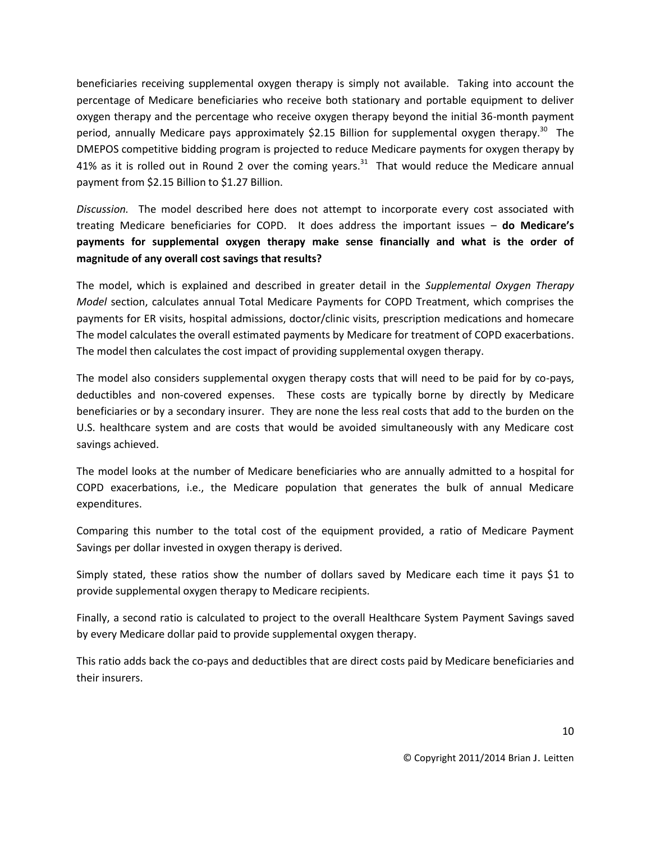beneficiaries receiving supplemental oxygen therapy is simply not available. Taking into account the percentage of Medicare beneficiaries who receive both stationary and portable equipment to deliver oxygen therapy and the percentage who receive oxygen therapy beyond the initial 36-month payment period, annually Medicare pays approximately \$2.15 Billion for supplemental oxygen therapy.<sup>30</sup> The DMEPOS competitive bidding program is projected to reduce Medicare payments for oxygen therapy by 41% as it is rolled out in Round 2 over the coming years.<sup>31</sup> That would reduce the Medicare annual payment from \$2.15 Billion to \$1.27 Billion.

*Discussion.* The model described here does not attempt to incorporate every cost associated with treating Medicare beneficiaries for COPD. It does address the important issues – **do Medicare's payments for supplemental oxygen therapy make sense financially and what is the order of magnitude of any overall cost savings that results?**

The model, which is explained and described in greater detail in the *Supplemental Oxygen Therapy Model* section, calculates annual Total Medicare Payments for COPD Treatment, which comprises the payments for ER visits, hospital admissions, doctor/clinic visits, prescription medications and homecare The model calculates the overall estimated payments by Medicare for treatment of COPD exacerbations. The model then calculates the cost impact of providing supplemental oxygen therapy.

The model also considers supplemental oxygen therapy costs that will need to be paid for by co-pays, deductibles and non-covered expenses. These costs are typically borne by directly by Medicare beneficiaries or by a secondary insurer. They are none the less real costs that add to the burden on the U.S. healthcare system and are costs that would be avoided simultaneously with any Medicare cost savings achieved.

The model looks at the number of Medicare beneficiaries who are annually admitted to a hospital for COPD exacerbations, i.e., the Medicare population that generates the bulk of annual Medicare expenditures.

Comparing this number to the total cost of the equipment provided, a ratio of Medicare Payment Savings per dollar invested in oxygen therapy is derived.

Simply stated, these ratios show the number of dollars saved by Medicare each time it pays \$1 to provide supplemental oxygen therapy to Medicare recipients.

Finally, a second ratio is calculated to project to the overall Healthcare System Payment Savings saved by every Medicare dollar paid to provide supplemental oxygen therapy.

This ratio adds back the co-pays and deductibles that are direct costs paid by Medicare beneficiaries and their insurers.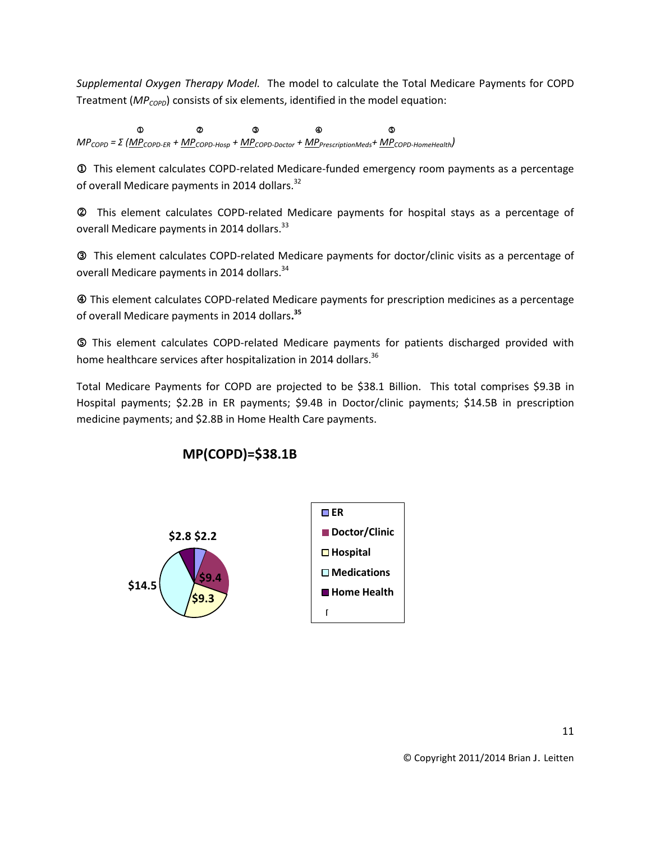*Supplemental Oxygen Therapy Model.* The model to calculate the Total Medicare Payments for COPD Treatment (*MPCOPD*) consists of six elements, identified in the model equation:

  *MPCOPD = Σ (MPCOPD-ER + MPCOPD-Hosp + MPCOPD-Doctor + MPPrescriptionMeds+ MPCOPD-HomeHealth)*

 This element calculates COPD-related Medicare-funded emergency room payments as a percentage of overall Medicare payments in 2014 dollars.<sup>32</sup>

This element calculates COPD-related Medicare payments for hospital stays as a percentage of overall Medicare payments in 2014 dollars.<sup>33</sup>

This element calculates COPD-related Medicare payments for doctor/clinic visits as a percentage of overall Medicare payments in 2014 dollars.<sup>34</sup>

 This element calculates COPD-related Medicare payments for prescription medicines as a percentage of overall Medicare payments in 2014 dollars**. 35**

 This element calculates COPD-related Medicare payments for patients discharged provided with home healthcare services after hospitalization in 2014 dollars.<sup>36</sup>

Total Medicare Payments for COPD are projected to be \$38.1 Billion. This total comprises \$9.3B in Hospital payments; \$2.2B in ER payments; \$9.4B in Doctor/clinic payments; \$14.5B in prescription medicine payments; and \$2.8B in Home Health Care payments.



# **MP(COPD)=\$38.1B**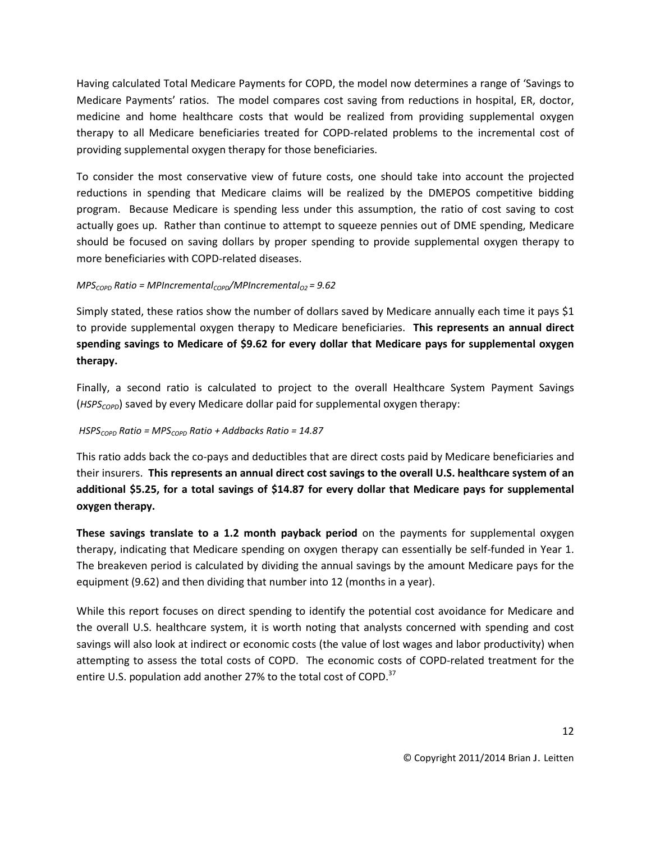Having calculated Total Medicare Payments for COPD, the model now determines a range of 'Savings to Medicare Payments' ratios. The model compares cost saving from reductions in hospital, ER, doctor, medicine and home healthcare costs that would be realized from providing supplemental oxygen therapy to all Medicare beneficiaries treated for COPD-related problems to the incremental cost of providing supplemental oxygen therapy for those beneficiaries.

To consider the most conservative view of future costs, one should take into account the projected reductions in spending that Medicare claims will be realized by the DMEPOS competitive bidding program. Because Medicare is spending less under this assumption, the ratio of cost saving to cost actually goes up. Rather than continue to attempt to squeeze pennies out of DME spending, Medicare should be focused on saving dollars by proper spending to provide supplemental oxygen therapy to more beneficiaries with COPD-related diseases.

### *MPSCOPD Ratio = MPIncrementalCOPD/MPIncrementalO2 = 9.62*

Simply stated, these ratios show the number of dollars saved by Medicare annually each time it pays \$1 to provide supplemental oxygen therapy to Medicare beneficiaries. **This represents an annual direct spending savings to Medicare of \$9.62 for every dollar that Medicare pays for supplemental oxygen therapy.**

Finally, a second ratio is calculated to project to the overall Healthcare System Payment Savings (*HSPSCOPD*) saved by every Medicare dollar paid for supplemental oxygen therapy:

## *HSPSCOPD Ratio = MPSCOPD Ratio + Addbacks Ratio = 14.87*

This ratio adds back the co-pays and deductibles that are direct costs paid by Medicare beneficiaries and their insurers. **This represents an annual direct cost savings to the overall U.S. healthcare system of an additional \$5.25, for a total savings of \$14.87 for every dollar that Medicare pays for supplemental oxygen therapy.**

**These savings translate to a 1.2 month payback period** on the payments for supplemental oxygen therapy, indicating that Medicare spending on oxygen therapy can essentially be self-funded in Year 1. The breakeven period is calculated by dividing the annual savings by the amount Medicare pays for the equipment (9.62) and then dividing that number into 12 (months in a year).

While this report focuses on direct spending to identify the potential cost avoidance for Medicare and the overall U.S. healthcare system, it is worth noting that analysts concerned with spending and cost savings will also look at indirect or economic costs (the value of lost wages and labor productivity) when attempting to assess the total costs of COPD. The economic costs of COPD-related treatment for the entire U.S. population add another 27% to the total cost of COPD.<sup>37</sup>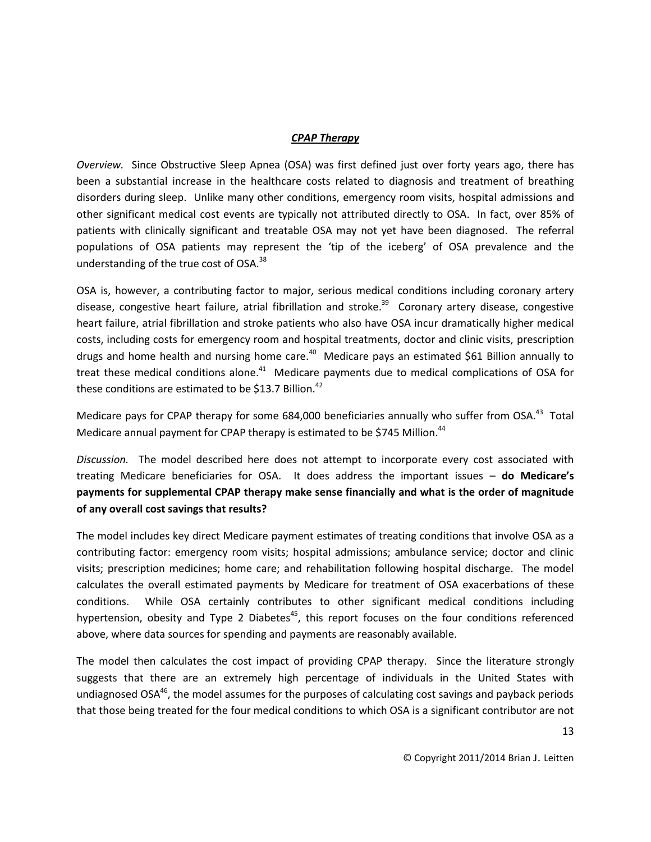#### *CPAP Therapy*

*Overview.* Since Obstructive Sleep Apnea (OSA) was first defined just over forty years ago, there has been a substantial increase in the healthcare costs related to diagnosis and treatment of breathing disorders during sleep. Unlike many other conditions, emergency room visits, hospital admissions and other significant medical cost events are typically not attributed directly to OSA. In fact, over 85% of patients with clinically significant and treatable OSA may not yet have been diagnosed. The referral populations of OSA patients may represent the 'tip of the iceberg' of OSA prevalence and the understanding of the true cost of OSA.<sup>38</sup>

OSA is, however, a contributing factor to major, serious medical conditions including coronary artery disease, congestive heart failure, atrial fibrillation and stroke.<sup>39</sup> Coronary artery disease, congestive heart failure, atrial fibrillation and stroke patients who also have OSA incur dramatically higher medical costs, including costs for emergency room and hospital treatments, doctor and clinic visits, prescription drugs and home health and nursing home care.<sup>40</sup> Medicare pays an estimated \$61 Billion annually to treat these medical conditions alone.<sup>41</sup> Medicare payments due to medical complications of OSA for these conditions are estimated to be \$13.7 Billion.<sup>42</sup>

Medicare pays for CPAP therapy for some 684,000 beneficiaries annually who suffer from OSA.<sup>43</sup> Total Medicare annual payment for CPAP therapy is estimated to be \$745 Million.<sup>44</sup>

*Discussion.* The model described here does not attempt to incorporate every cost associated with treating Medicare beneficiaries for OSA. It does address the important issues – **do Medicare's payments for supplemental CPAP therapy make sense financially and what is the order of magnitude of any overall cost savings that results?**

The model includes key direct Medicare payment estimates of treating conditions that involve OSA as a contributing factor: emergency room visits; hospital admissions; ambulance service; doctor and clinic visits; prescription medicines; home care; and rehabilitation following hospital discharge. The model calculates the overall estimated payments by Medicare for treatment of OSA exacerbations of these conditions. While OSA certainly contributes to other significant medical conditions including hypertension, obesity and Type 2 Diabetes<sup>45</sup>, this report focuses on the four conditions referenced above, where data sources for spending and payments are reasonably available.

The model then calculates the cost impact of providing CPAP therapy. Since the literature strongly suggests that there are an extremely high percentage of individuals in the United States with undiagnosed  $OSA<sup>46</sup>$ , the model assumes for the purposes of calculating cost savings and payback periods that those being treated for the four medical conditions to which OSA is a significant contributor are not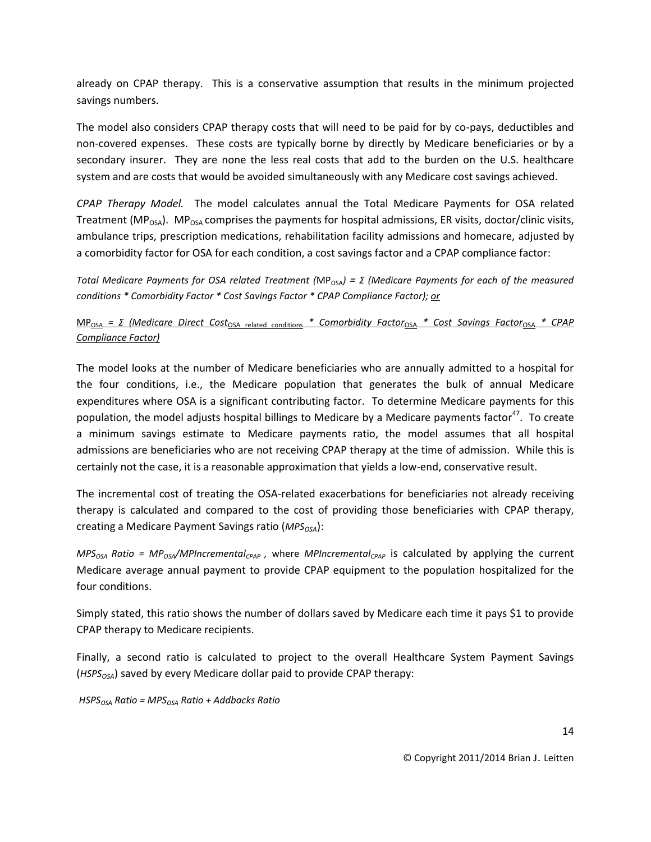already on CPAP therapy. This is a conservative assumption that results in the minimum projected savings numbers.

The model also considers CPAP therapy costs that will need to be paid for by co-pays, deductibles and non-covered expenses. These costs are typically borne by directly by Medicare beneficiaries or by a secondary insurer. They are none the less real costs that add to the burden on the U.S. healthcare system and are costs that would be avoided simultaneously with any Medicare cost savings achieved.

*CPAP Therapy Model.* The model calculates annual the Total Medicare Payments for OSA related Treatment ( $MP<sub>OSA</sub>$ ). MP<sub>OSA</sub> comprises the payments for hospital admissions, ER visits, doctor/clinic visits, ambulance trips, prescription medications, rehabilitation facility admissions and homecare, adjusted by a comorbidity factor for OSA for each condition, a cost savings factor and a CPAP compliance factor:

*Total Medicare Payments for OSA related Treatment (MP<sub>OSA</sub>) = Σ (Medicare Payments for each of the measured conditions \* Comorbidity Factor \* Cost Savings Factor \* CPAP Compliance Factor); or* 

## MPOSA *= Σ (Medicare Direct Cost*OSA related conditions *\* Comorbidity Factor*OSA *\* Cost Savings Factor*OSA *\* CPAP Compliance Factor)*

The model looks at the number of Medicare beneficiaries who are annually admitted to a hospital for the four conditions, i.e., the Medicare population that generates the bulk of annual Medicare expenditures where OSA is a significant contributing factor. To determine Medicare payments for this population, the model adjusts hospital billings to Medicare by a Medicare payments factor<sup>47</sup>. To create a minimum savings estimate to Medicare payments ratio, the model assumes that all hospital admissions are beneficiaries who are not receiving CPAP therapy at the time of admission. While this is certainly not the case, it is a reasonable approximation that yields a low-end, conservative result.

The incremental cost of treating the OSA-related exacerbations for beneficiaries not already receiving therapy is calculated and compared to the cost of providing those beneficiaries with CPAP therapy, creating a Medicare Payment Savings ratio (*MPS*<sub>OSA</sub>):

*MPSOSA Ratio = MPOSA/MPIncrementalCPAP ,* where *MPIncrementalCPAP* is calculated by applying the current Medicare average annual payment to provide CPAP equipment to the population hospitalized for the four conditions.

Simply stated, this ratio shows the number of dollars saved by Medicare each time it pays \$1 to provide CPAP therapy to Medicare recipients.

Finally, a second ratio is calculated to project to the overall Healthcare System Payment Savings (*HSPSOSA*) saved by every Medicare dollar paid to provide CPAP therapy:

*HSPSOSA Ratio = MPSOSA Ratio + Addbacks Ratio*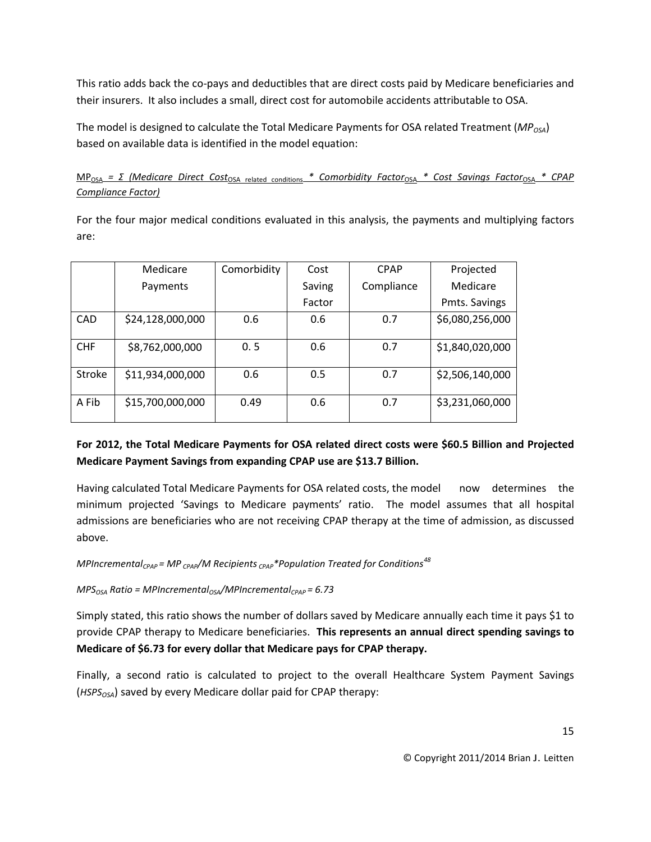This ratio adds back the co-pays and deductibles that are direct costs paid by Medicare beneficiaries and their insurers. It also includes a small, direct cost for automobile accidents attributable to OSA.

The model is designed to calculate the Total Medicare Payments for OSA related Treatment (*MPOSA*) based on available data is identified in the model equation:

MPOSA *= Σ (Medicare Direct Cost*OSA related conditions *\* Comorbidity Factor*OSA *\* Cost Savings Factor*OSA *\* CPAP Compliance Factor)*

For the four major medical conditions evaluated in this analysis, the payments and multiplying factors are:

|               | Medicare         | Comorbidity | Cost   | <b>CPAP</b> | Projected       |
|---------------|------------------|-------------|--------|-------------|-----------------|
|               | Payments         |             | Saving | Compliance  | Medicare        |
|               |                  |             | Factor |             | Pmts. Savings   |
| <b>CAD</b>    | \$24,128,000,000 | 0.6         | 0.6    | 0.7         | \$6,080,256,000 |
|               |                  |             |        |             |                 |
| <b>CHF</b>    | \$8,762,000,000  | 0.5         | 0.6    | 0.7         | \$1,840,020,000 |
|               |                  |             |        |             |                 |
| <b>Stroke</b> | \$11,934,000,000 | 0.6         | 0.5    | 0.7         | \$2,506,140,000 |
|               |                  |             |        |             |                 |
| A Fib         | \$15,700,000,000 | 0.49        | 0.6    | 0.7         | \$3,231,060,000 |

# **For 2012, the Total Medicare Payments for OSA related direct costs were \$60.5 Billion and Projected Medicare Payment Savings from expanding CPAP use are \$13.7 Billion.**

Having calculated Total Medicare Payments for OSA related costs, the model now determines the minimum projected 'Savings to Medicare payments' ratio. The model assumes that all hospital admissions are beneficiaries who are not receiving CPAP therapy at the time of admission, as discussed above.

*MPIncrementalCPAP = MP CPAP/M Recipients CPAP\*Population Treated for Conditions<sup>48</sup>*

*MPSOSA Ratio = MPIncrementalOSA/MPIncrementalCPAP = 6.73*

Simply stated, this ratio shows the number of dollars saved by Medicare annually each time it pays \$1 to provide CPAP therapy to Medicare beneficiaries. **This represents an annual direct spending savings to Medicare of \$6.73 for every dollar that Medicare pays for CPAP therapy.**

Finally, a second ratio is calculated to project to the overall Healthcare System Payment Savings (*HSPSOSA*) saved by every Medicare dollar paid for CPAP therapy: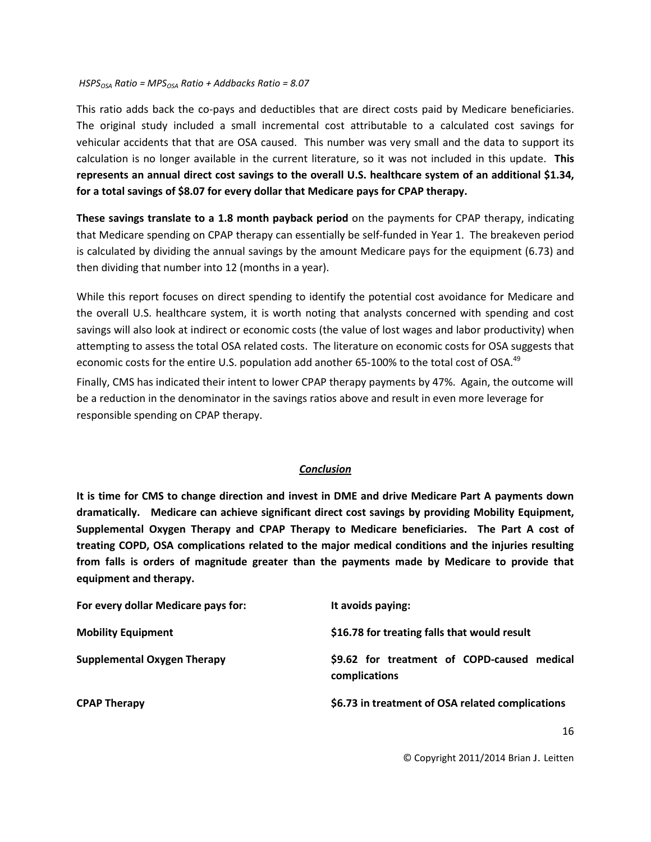#### *HSPSOSA Ratio = MPSOSA Ratio + Addbacks Ratio = 8.07*

This ratio adds back the co-pays and deductibles that are direct costs paid by Medicare beneficiaries. The original study included a small incremental cost attributable to a calculated cost savings for vehicular accidents that that are OSA caused. This number was very small and the data to support its calculation is no longer available in the current literature, so it was not included in this update. **This represents an annual direct cost savings to the overall U.S. healthcare system of an additional \$1.34, for a total savings of \$8.07 for every dollar that Medicare pays for CPAP therapy.**

**These savings translate to a 1.8 month payback period** on the payments for CPAP therapy, indicating that Medicare spending on CPAP therapy can essentially be self-funded in Year 1. The breakeven period is calculated by dividing the annual savings by the amount Medicare pays for the equipment (6.73) and then dividing that number into 12 (months in a year).

While this report focuses on direct spending to identify the potential cost avoidance for Medicare and the overall U.S. healthcare system, it is worth noting that analysts concerned with spending and cost savings will also look at indirect or economic costs (the value of lost wages and labor productivity) when attempting to assess the total OSA related costs. The literature on economic costs for OSA suggests that economic costs for the entire U.S. population add another 65-100% to the total cost of OSA.<sup>49</sup>

Finally, CMS has indicated their intent to lower CPAP therapy payments by 47%. Again, the outcome will be a reduction in the denominator in the savings ratios above and result in even more leverage for responsible spending on CPAP therapy.

### *Conclusion*

**It is time for CMS to change direction and invest in DME and drive Medicare Part A payments down dramatically. Medicare can achieve significant direct cost savings by providing Mobility Equipment, Supplemental Oxygen Therapy and CPAP Therapy to Medicare beneficiaries. The Part A cost of treating COPD, OSA complications related to the major medical conditions and the injuries resulting from falls is orders of magnitude greater than the payments made by Medicare to provide that equipment and therapy.**

| For every dollar Medicare pays for: | It avoids paying:                                            |  |
|-------------------------------------|--------------------------------------------------------------|--|
| <b>Mobility Equipment</b>           | \$16.78 for treating falls that would result                 |  |
| <b>Supplemental Oxygen Therapy</b>  | \$9.62 for treatment of COPD-caused medical<br>complications |  |
| <b>CPAP Therapy</b>                 | \$6.73 in treatment of OSA related complications             |  |
|                                     |                                                              |  |

© Copyright 2011/2014 Brian J. Leitten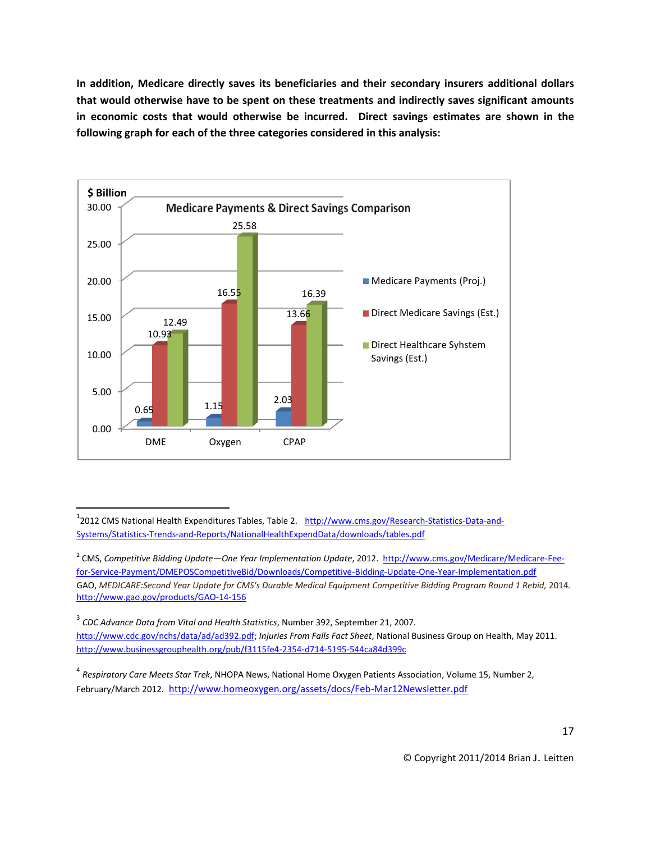**In addition, Medicare directly saves its beneficiaries and their secondary insurers additional dollars that would otherwise have to be spent on these treatments and indirectly saves significant amounts in economic costs that would otherwise be incurred. Direct savings estimates are shown in the following graph for each of the three categories considered in this analysis:**



<sup>1</sup>2012 CMS National Health Expenditures Tables, Table 2. [http://www.cms.gov/Research-Statistics-Data-and-](http://www.cms.gov/Research-Statistics-Data-and-Systems/Statistics-Trends-and-Reports/NationalHealthExpendData/downloads/tables.pdf)[Systems/Statistics-Trends-and-Reports/NationalHealthExpendData/downloads/tables.pdf](http://www.cms.gov/Research-Statistics-Data-and-Systems/Statistics-Trends-and-Reports/NationalHealthExpendData/downloads/tables.pdf)

2 CMS, *Competitive Bidding Update—One Year Implementation Update*, 2012. [http://www.cms.gov/Medicare/Medicare-Fee](http://www.cms.gov/Medicare/Medicare-Fee-for-Service-Payment/DMEPOSCompetitiveBid/Downloads/Competitive-Bidding-Update-One-Year-Implementation.pdf)[for-Service-Payment/DMEPOSCompetitiveBid/Downloads/Competitive-Bidding-Update-One-Year-Implementation.pdf](http://www.cms.gov/Medicare/Medicare-Fee-for-Service-Payment/DMEPOSCompetitiveBid/Downloads/Competitive-Bidding-Update-One-Year-Implementation.pdf) GAO, *MEDICARE:Second Year Update for CMS's Durable Medical Equipment Competitive Bidding Program Round 1 Rebid,* 2014*.* <http://www.gao.gov/products/GAO-14-156>

3 *CDC Advance Data from Vital and Health Statistics*, Number 392, September 21, 2007.

 $\overline{a}$ 

[http://www.cdc.gov/nchs/data/ad/ad392.pdf;](http://www.cdc.gov/nchs/data/ad/ad392.pdf) *Injuries From Falls Fact Sheet*, National Business Group on Health, May 2011. <http://www.businessgrouphealth.org/pub/f3115fe4-2354-d714-5195-544ca84d399c>

4 *Respiratory Care Meets Star Trek*, NHOPA News, National Home Oxygen Patients Association, Volume 15, Number 2, February/March 2012. <http://www.homeoxygen.org/assets/docs/Feb-Mar12Newsletter.pdf>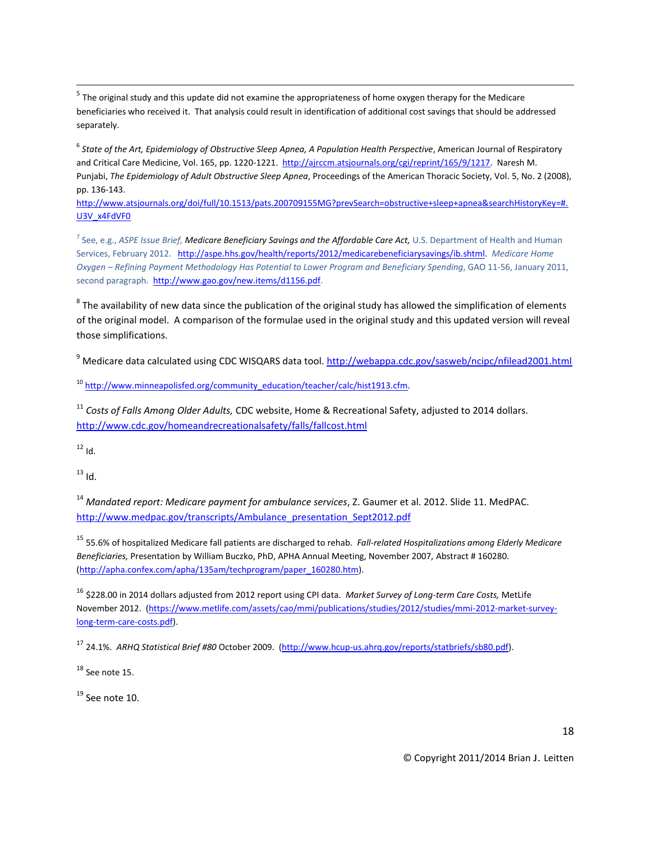<sup>5</sup> The original study and this update did not examine the appropriateness of home oxygen therapy for the Medicare beneficiaries who received it. That analysis could result in identification of additional cost savings that should be addressed separately.

<sup>6</sup> State of the Art, Epidemiology of Obstructive Sleep Apnea, A Population Health Perspective, American Journal of Respiratory and Critical Care Medicine, Vol. 165, pp. 1220-1221. [http://ajrccm.atsjournals.org/cgi/reprint/165/9/1217.](http://ajrccm.atsjournals.org/cgi/reprint/165/9/1217) Naresh M. Punjabi, *The Epidemiology of Adult Obstructive Sleep Apnea*, Proceedings of the American Thoracic Society, Vol. 5, No. 2 (2008), pp. 136-143.

[http://www.atsjournals.org/doi/full/10.1513/pats.200709155MG?prevSearch=obstructive+sleep+apnea&searchHistoryKey=#.](http://www.atsjournals.org/doi/full/10.1513/pats.200709155MG?prevSearch=obstructive+sleep+apnea&searchHistoryKey=%23.U3V_x4FdVF0) [U3V\\_x4FdVF0](http://www.atsjournals.org/doi/full/10.1513/pats.200709155MG?prevSearch=obstructive+sleep+apnea&searchHistoryKey=%23.U3V_x4FdVF0)

<sup>7</sup> See, e.g., *ASPE Issue Brief, Medicare Beneficiary Savings and the Affordable Care Act, U.S. Department of Health and Human* Services, February 2012. [http://aspe.hhs.gov/health/reports/2012/medicarebeneficiarysavings/ib.shtml.](http://aspe.hhs.gov/health/reports/2012/medicarebeneficiarysavings/ib.shtml) *Medicare Home Oxygen – Refining Payment Methodology Has Potential to Lower Program and Beneficiary Spending*, GAO 11-56, January 2011, second paragraph. [http://www.gao.gov/new.items/d1156.pdf.](http://www.gao.gov/new.items/d1156.pdf)

 $^8$  The availability of new data since the publication of the original study has allowed the simplification of elements of the original model. A comparison of the formulae used in the original study and this updated version will reveal those simplifications.

<sup>9</sup> Medicare data calculated using CDC WISQARS data tool.<http://webappa.cdc.gov/sasweb/ncipc/nfilead2001.html>

<sup>10</sup> [http://www.minneapolisfed.org/community\\_education/teacher/calc/hist1913.cfm.](http://www.minneapolisfed.org/community_education/teacher/calc/hist1913.cfm)

<sup>11</sup> *Costs of Falls Among Older Adults,* CDC website, Home & Recreational Safety, adjusted to 2014 dollars. <http://www.cdc.gov/homeandrecreationalsafety/falls/fallcost.html>

 $12$  Id.

 $\overline{\phantom{a}}$ 

 $13$  Id.

<sup>14</sup> *Mandated report: Medicare payment for ambulance services*, Z. Gaumer et al. 2012. Slide 11. MedPAC. [http://www.medpac.gov/transcripts/Ambulance\\_presentation\\_Sept2012.pdf](http://www.medpac.gov/transcripts/Ambulance_presentation_Sept2012.pdf)

<sup>15</sup> 55.6% of hospitalized Medicare fall patients are discharged to rehab. *Fall-related Hospitalizations among Elderly Medicare Beneficiaries,* Presentation by William Buczko, PhD, APHA Annual Meeting, November 2007, Abstract # 160280. [\(http://apha.confex.com/apha/135am/techprogram/paper\\_160280.htm\)](http://apha.confex.com/apha/135am/techprogram/paper_160280.htm).

<sup>16</sup> \$228.00 in 2014 dollars adjusted from 2012 report using CPI data. *Market Survey of Long-term Care Costs,* MetLife November 2012. [\(https://www.metlife.com/assets/cao/mmi/publications/studies/2012/studies/mmi-2012-market-survey](https://www.metlife.com/assets/cao/mmi/publications/studies/2012/studies/mmi-2012-market-survey-long-term-care-costs.pdf)[long-term-care-costs.pdf\)](https://www.metlife.com/assets/cao/mmi/publications/studies/2012/studies/mmi-2012-market-survey-long-term-care-costs.pdf).

<sup>17</sup> 24.1%. *ARHQ Statistical Brief #80* October 2009. [\(http://www.hcup-us.ahrq.gov/reports/statbriefs/sb80.pdf\)](http://www.hcup-us.ahrq.gov/reports/statbriefs/sb80.pdf).

 $18$  See note 15.

 $19$  See note 10.

© Copyright 2011/2014 Brian J. Leitten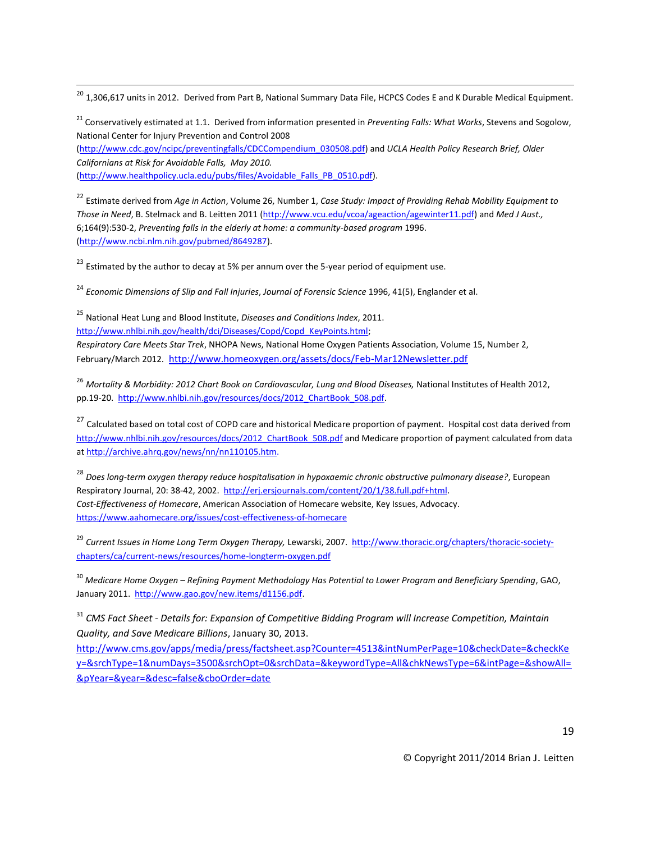<sup>20</sup> 1,306,617 units in 2012. Derived from Part B, National Summary Data File, HCPCS Codes E and K Durable Medical Equipment.

<sup>21</sup> Conservatively estimated at 1.1. Derived from information presented in *Preventing Falls: What Works*, Stevens and Sogolow, National Center for Injury Prevention and Control 2008

[\(http://www.cdc.gov/ncipc/preventingfalls/CDCCompendium\\_030508.pdf\)](http://www.cdc.gov/ncipc/preventingfalls/CDCCompendium_030508.pdf) and *UCLA Health Policy Research Brief, Older Californians at Risk for Avoidable Falls, May 2010.*  [\(http://www.healthpolicy.ucla.edu/pubs/files/Avoidable\\_Falls\\_PB\\_0510.pdf\)](http://www.healthpolicy.ucla.edu/pubs/files/Avoidable_Falls_PB_0510.pdf).

<sup>22</sup> Estimate derived from *Age in Action*, Volume 26, Number 1, *Case Study: Impact of Providing Rehab Mobility Equipment to Those in Need*, B. Stelmack and B. Leitten 2011 [\(http://www.vcu.edu/vcoa/ageaction/agewinter11.pdf\)](http://www.vcu.edu/vcoa/ageaction/agewinter11.pdf) and *Med J Aust.,*  6;164(9):530-2, *Preventing falls in the elderly at home: a community-based program* 1996. [\(http://www.ncbi.nlm.nih.gov/pubmed/8649287\).](http://www.ncbi.nlm.nih.gov/pubmed/8649287)

 $^{23}$  Estimated by the author to decay at 5% per annum over the 5-year period of equipment use.

<sup>24</sup> *Economic Dimensions of Slip and Fall Injuries*, *Journal of Forensic Science* 1996, 41(5), Englander et al.

<sup>25</sup> National Heat Lung and Blood Institute, *Diseases and Conditions Index*, 2011.

[http://www.nhlbi.nih.gov/health/dci/Diseases/Copd/Copd\\_KeyPoints.html;](http://www.nhlbi.nih.gov/health/dci/Diseases/Copd/Copd_KeyPoints.html) 

 $\overline{\phantom{a}}$ 

*Respiratory Care Meets Star Trek*, NHOPA News, National Home Oxygen Patients Association, Volume 15, Number 2, February/March 2012. <http://www.homeoxygen.org/assets/docs/Feb-Mar12Newsletter.pdf>

<sup>26</sup> *Mortality & Morbidity: 2012 Chart Book on Cardiovascular, Lung and Blood Diseases,* National Institutes of Health 2012, pp.19-20. [http://www.nhlbi.nih.gov/resources/docs/2012\\_ChartBook\\_508.pdf.](http://www.nhlbi.nih.gov/resources/docs/2012_ChartBook_508.pdf)

<sup>27</sup> Calculated based on total cost of COPD care and historical Medicare proportion of payment. Hospital cost data derived from [http://www.nhlbi.nih.gov/resources/docs/2012\\_ChartBook\\_508.pdf](http://www.nhlbi.nih.gov/resources/docs/2012_ChartBook_508.pdf) and Medicare proportion of payment calculated from data at http://archive.ahrq.gov/news/nn/nn110105.htm.

<sup>28</sup> *Does long-term oxygen therapy reduce hospitalisation in hypoxaemic chronic obstructive pulmonary disease?*, European Respiratory Journal, 20: 38-42, 2002. [http://erj.ersjournals.com/content/20/1/38.full.pdf+html.](http://erj.ersjournals.com/content/20/1/38.full.pdf+html) *Cost-Effectiveness of Homecare*, American Association of Homecare website, Key Issues, Advocacy. <https://www.aahomecare.org/issues/cost-effectiveness-of-homecare>

<sup>29</sup> *Current Issues in Home Long Term Oxygen Therapy,* Lewarski, 2007. [http://www.thoracic.org/chapters/thoracic-society](http://www.thoracic.org/chapters/thoracic-society-chapters/ca/current-news/resources/home-longterm-oxygen.pdf)[chapters/ca/current-news/resources/home-longterm-oxygen.pdf](http://www.thoracic.org/chapters/thoracic-society-chapters/ca/current-news/resources/home-longterm-oxygen.pdf)

<sup>30</sup> *Medicare Home Oxygen – Refining Payment Methodology Has Potential to Lower Program and Beneficiary Spending*, GAO, January 2011. [http://www.gao.gov/new.items/d1156.pdf.](http://www.gao.gov/new.items/d1156.pdf)

<sup>31</sup> *CMS Fact Sheet - Details for: Expansion of Competitive Bidding Program will Increase Competition, Maintain Quality, and Save Medicare Billions*, January 30, 2013.

[http://www.cms.gov/apps/media/press/factsheet.asp?Counter=4513&intNumPerPage=10&checkDate=&checkKe](http://www.cms.gov/apps/media/press/factsheet.asp?Counter=4513&intNumPerPage=10&checkDate=&checkKey=&srchType=1&numDays=3500&srchOpt=0&srchData=&keywordType=All&chkNewsType=6&intPage=&showAll=&pYear=&year=&desc=false&cboOrder=date) [y=&srchType=1&numDays=3500&srchOpt=0&srchData=&keywordType=All&chkNewsType=6&intPage=&showAll=](http://www.cms.gov/apps/media/press/factsheet.asp?Counter=4513&intNumPerPage=10&checkDate=&checkKey=&srchType=1&numDays=3500&srchOpt=0&srchData=&keywordType=All&chkNewsType=6&intPage=&showAll=&pYear=&year=&desc=false&cboOrder=date) [&pYear=&year=&desc=false&cboOrder=date](http://www.cms.gov/apps/media/press/factsheet.asp?Counter=4513&intNumPerPage=10&checkDate=&checkKey=&srchType=1&numDays=3500&srchOpt=0&srchData=&keywordType=All&chkNewsType=6&intPage=&showAll=&pYear=&year=&desc=false&cboOrder=date)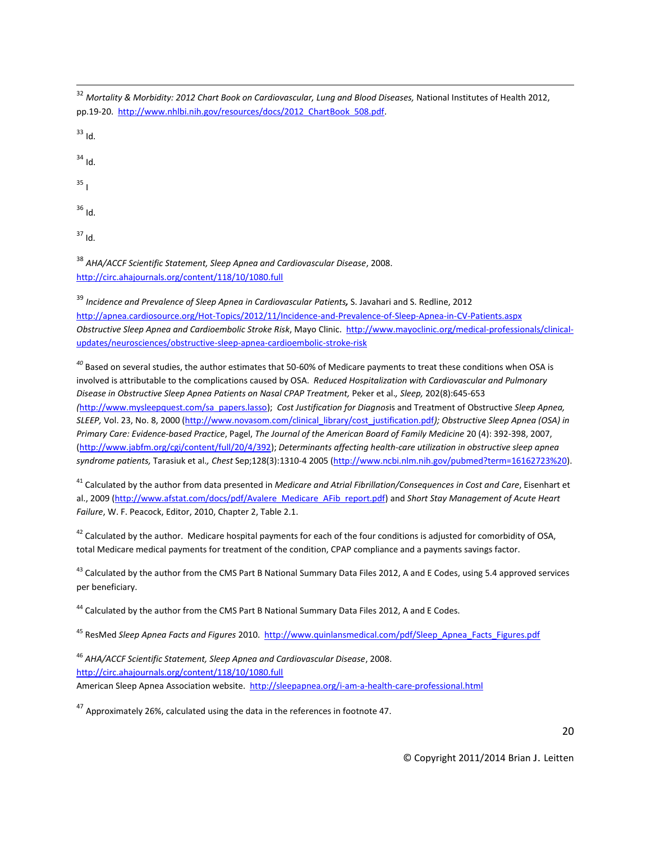<sup>32</sup> *Mortality & Morbidity: 2012 Chart Book on Cardiovascular, Lung and Blood Diseases,* National Institutes of Health 2012, pp.19-20. [http://www.nhlbi.nih.gov/resources/docs/2012\\_ChartBook\\_508.pdf.](http://www.nhlbi.nih.gov/resources/docs/2012_ChartBook_508.pdf)

 $33$  Id.

 $\overline{\phantom{a}}$ 

<sup>34</sup> Id.

 $35<sub>1</sub>$ 

<sup>36</sup> Id.

 $37$  Id.

<sup>38</sup> *AHA/ACCF Scientific Statement, Sleep Apnea and Cardiovascular Disease*, 2008. <http://circ.ahajournals.org/content/118/10/1080.full>

<sup>39</sup> *Incidence and Prevalence of Sleep Apnea in Cardiovascular Patients,* S. Javahari and S. Redline, 2012 <http://apnea.cardiosource.org/Hot-Topics/2012/11/Incidence-and-Prevalence-of-Sleep-Apnea-in-CV-Patients.aspx> *Obstructive Sleep Apnea and Cardioembolic Stroke Risk*, Mayo Clinic. [http://www.mayoclinic.org/medical-professionals/clinical](http://www.mayoclinic.org/medical-professionals/clinical-updates/neurosciences/obstructive-sleep-apnea-cardioembolic-stroke-risk)[updates/neurosciences/obstructive-sleep-apnea-cardioembolic-stroke-risk](http://www.mayoclinic.org/medical-professionals/clinical-updates/neurosciences/obstructive-sleep-apnea-cardioembolic-stroke-risk)

*<sup>40</sup>* Based on several studies, the author estimates that 50-60% of Medicare payments to treat these conditions when OSA is involved is attributable to the complications caused by OSA. *Reduced Hospitalization with Cardiovascular and Pulmonary Disease in Obstructive Sleep Apnea Patients on Nasal CPAP Treatment,* Peker et al.*, Sleep,* 202(8):645-653 *(*[http://www.mysleepquest.com/sa\\_papers.lasso\)](http://www.mysleepquest.com/sa_papers.lasso); *Cost Justification for Diagnos*is and Treatment of Obstructive *Sleep Apnea, SLEEP,* Vol. 23, No. 8, 2000 [\(http://www.novasom.com/clinical\\_library/cost\\_justification.pdf](http://www.novasom.com/clinical_library/cost_justification.pdf)*); Obstructive Sleep Apnea (OSA) in Primary Care: Evidence-based Practice*, Pagel, *The Journal of the American Board of Family Medicine* 20 (4): 392-398, 2007, [\(http://www.jabfm.org/cgi/content/full/20/4/392\)](http://www.jabfm.org/cgi/content/full/20/4/392); *Determinants affecting health-care utilization in obstructive sleep apnea syndrome patients,* Tarasiuk et al.*, Chest* Sep;128(3):1310-4 2005 [\(http://www.ncbi.nlm.nih.gov/pubmed?term=16162723%20\)](http://www.ncbi.nlm.nih.gov/pubmed?term=16162723%20).

<sup>41</sup> Calculated by the author from data presented in *Medicare and Atrial Fibrillation/Consequences in Cost and Care*, Eisenhart et al., 2009 [\(http://www.afstat.com/docs/pdf/Avalere\\_Medicare\\_AFib\\_report.pdf\)](http://www.afstat.com/docs/pdf/Avalere_Medicare_AFib_report.pdf) and *Short Stay Management of Acute Heart Failure*, W. F. Peacock, Editor, 2010, Chapter 2, Table 2.1.

 $42$  Calculated by the author. Medicare hospital payments for each of the four conditions is adjusted for comorbidity of OSA, total Medicare medical payments for treatment of the condition, CPAP compliance and a payments savings factor.

 $^{43}$  Calculated by the author from the CMS Part B National Summary Data Files 2012, A and E Codes, using 5.4 approved services per beneficiary.

<sup>44</sup> Calculated by the author from the CMS Part B National Summary Data Files 2012, A and E Codes.

<sup>45</sup> ResMed *Sleep Apnea Facts and Figures* 2010. [http://www.quinlansmedical.com/pdf/Sleep\\_Apnea\\_Facts\\_Figures.pdf](http://www.quinlansmedical.com/pdf/Sleep_Apnea_Facts_Figures.pdf)

<sup>46</sup> *AHA/ACCF Scientific Statement, Sleep Apnea and Cardiovascular Disease*, 2008. <http://circ.ahajournals.org/content/118/10/1080.full> American Sleep Apnea Association website. <http://sleepapnea.org/i-am-a-health-care-professional.html>

<sup>47</sup> Approximately 26%, calculated using the data in the references in footnote 47.

© Copyright 2011/2014 Brian J. Leitten